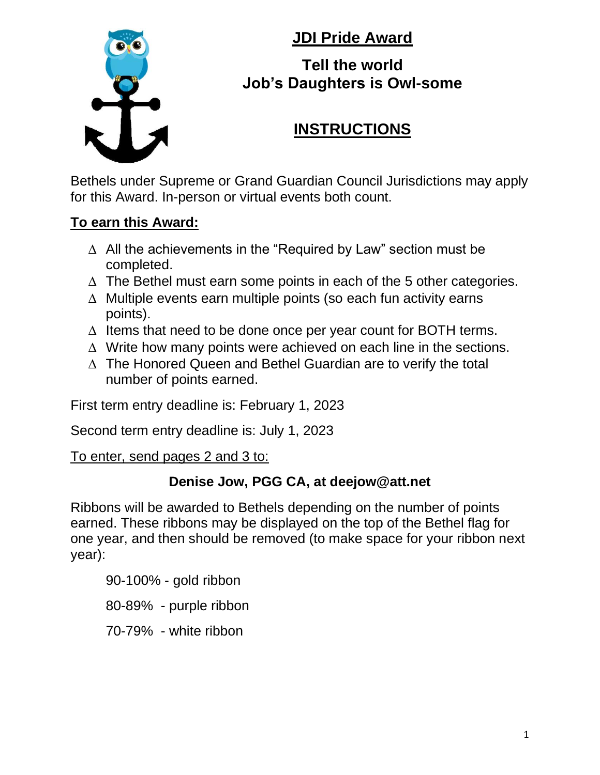**JDI Pride Award**



#### **Tell the world Job's Daughters is Owl-some**

# **INSTRUCTIONS**

Bethels under Supreme or Grand Guardian Council Jurisdictions may apply for this Award. In-person or virtual events both count.

#### **To earn this Award:**

- $\Delta$  All the achievements in the "Required by Law" section must be completed.
- $\Delta$  The Bethel must earn some points in each of the 5 other categories.
- $\triangle$  Multiple events earn multiple points (so each fun activity earns points).
- $\Delta$  Items that need to be done once per year count for BOTH terms.
- $\Delta$  Write how many points were achieved on each line in the sections.
- $\Delta$  The Honored Queen and Bethel Guardian are to verify the total number of points earned.

First term entry deadline is: February 1, 2023

Second term entry deadline is: July 1, 2023

To enter, send pages 2 and 3 to:

#### **Denise Jow, PGG CA, at deejow@att.net**

Ribbons will be awarded to Bethels depending on the number of points earned. These ribbons may be displayed on the top of the Bethel flag for one year, and then should be removed (to make space for your ribbon next year):

90-100% - gold ribbon

80-89% - purple ribbon

70-79% - white ribbon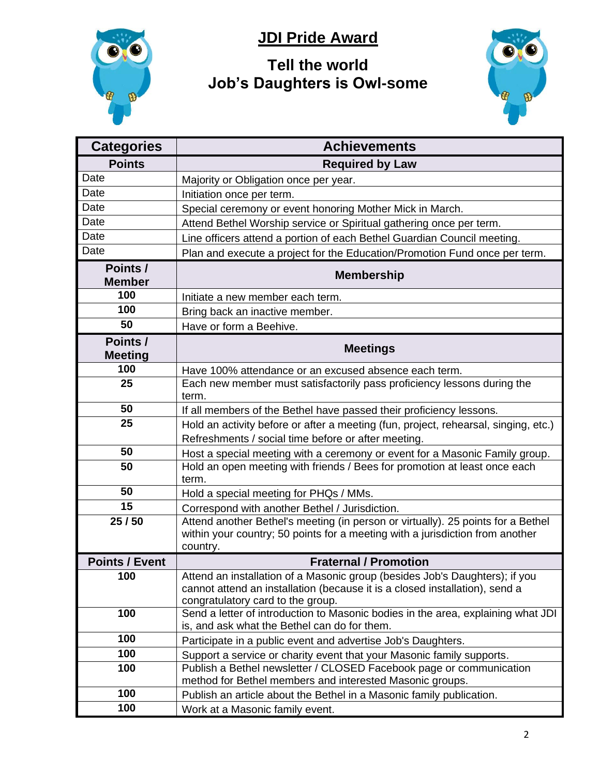

## **JDI Pride Award**

## **Tell the world Job's Daughters is Owl-some**



| <b>Categories</b>         | <b>Achievements</b>                                                                                                                                                                             |  |  |
|---------------------------|-------------------------------------------------------------------------------------------------------------------------------------------------------------------------------------------------|--|--|
| <b>Points</b>             | <b>Required by Law</b>                                                                                                                                                                          |  |  |
| Date                      | Majority or Obligation once per year.                                                                                                                                                           |  |  |
| Date                      | Initiation once per term.                                                                                                                                                                       |  |  |
| Date                      | Special ceremony or event honoring Mother Mick in March.                                                                                                                                        |  |  |
| Date                      | Attend Bethel Worship service or Spiritual gathering once per term.                                                                                                                             |  |  |
| Date                      | Line officers attend a portion of each Bethel Guardian Council meeting.                                                                                                                         |  |  |
| Date                      | Plan and execute a project for the Education/Promotion Fund once per term.                                                                                                                      |  |  |
| Points /<br><b>Member</b> | <b>Membership</b>                                                                                                                                                                               |  |  |
| 100                       | Initiate a new member each term.                                                                                                                                                                |  |  |
| 100                       | Bring back an inactive member.                                                                                                                                                                  |  |  |
| 50                        | Have or form a Beehive.                                                                                                                                                                         |  |  |
| Points /                  | <b>Meetings</b>                                                                                                                                                                                 |  |  |
| <b>Meeting</b>            |                                                                                                                                                                                                 |  |  |
| 100                       | Have 100% attendance or an excused absence each term.                                                                                                                                           |  |  |
| 25                        | Each new member must satisfactorily pass proficiency lessons during the<br>term.                                                                                                                |  |  |
| 50                        | If all members of the Bethel have passed their proficiency lessons.                                                                                                                             |  |  |
| 25                        | Hold an activity before or after a meeting (fun, project, rehearsal, singing, etc.)                                                                                                             |  |  |
|                           | Refreshments / social time before or after meeting.                                                                                                                                             |  |  |
| 50                        | Host a special meeting with a ceremony or event for a Masonic Family group.                                                                                                                     |  |  |
| 50                        | Hold an open meeting with friends / Bees for promotion at least once each<br>term.                                                                                                              |  |  |
| 50                        | Hold a special meeting for PHQs / MMs.                                                                                                                                                          |  |  |
| 15                        | Correspond with another Bethel / Jurisdiction.                                                                                                                                                  |  |  |
| 25/50                     | Attend another Bethel's meeting (in person or virtually). 25 points for a Bethel<br>within your country; 50 points for a meeting with a jurisdiction from another<br>country.                   |  |  |
| <b>Points / Event</b>     | <b>Fraternal / Promotion</b>                                                                                                                                                                    |  |  |
| 100                       | Attend an installation of a Masonic group (besides Job's Daughters); if you<br>cannot attend an installation (because it is a closed installation), send a<br>congratulatory card to the group. |  |  |
| 100                       | Send a letter of introduction to Masonic bodies in the area, explaining what JDI<br>is, and ask what the Bethel can do for them.                                                                |  |  |
| 100                       | Participate in a public event and advertise Job's Daughters.                                                                                                                                    |  |  |
| 100                       | Support a service or charity event that your Masonic family supports.                                                                                                                           |  |  |
| 100                       | Publish a Bethel newsletter / CLOSED Facebook page or communication<br>method for Bethel members and interested Masonic groups.                                                                 |  |  |
| 100                       | Publish an article about the Bethel in a Masonic family publication.                                                                                                                            |  |  |
| 100                       | Work at a Masonic family event.                                                                                                                                                                 |  |  |